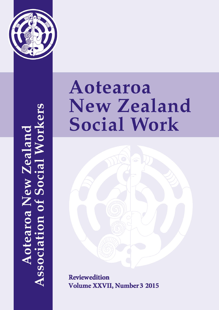

**Aotearoa New Zealand<br>Association of Social Workers** 

# Aotearoa **New Zealand Social Work**



**Reviewedition Volume XXVII, Number 3 2015**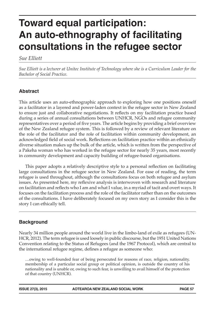# **Toward equal participation: An auto-ethnography of facilitating consultations in the refugee sector**

#### *Sue Elliott*

*Sue Elliott is a lecturer at Unitec Institute of Technology where she is a Curriculum Leader for the Bachelor of Social Practice.*

#### **Abstract**

This article uses an auto-ethnographic approach to exploring how one positions oneself as a facilitator in a layered and power-laden context in the refugee sector in New Zealand to ensure just and collaborative negotiations. It reflects on my facilitation practice based during a series of annual consultations between UNHCR, NGOs and refugee community representatives over a period of five years. The article begins by providing a brief overview of the New Zealand refugee system. This is followed by a review of relevant literature on the role of the facilitator and the role of facilitation within community development, an acknowledged field of social work. Reflections on facilitation practice within an ethnically diverse situation makes up the bulk of the article, which is written from the perspective of a Pakeha woman who has worked in the refugee sector for nearly 35 years, most recently in community development and capacity building of refugee-based organisations.

This paper adopts a relatively descriptive style to a personal reflection on facilitating large consultations in the refugee sector in New Zealand. For ease of reading, the term refugee is used throughout, although the consultations focus on both refugee and asylum issues. As presented here, my reflexive analysis is interwoven with research and literature on facilitation and reflects who I am and what I value, in a myriad of tacit and overt ways. It focuses on the facilitation process and the role of the facilitator rather than on the outcomes of the consultations. I have deliberately focused on my own story as I consider this is the story I can ethically tell.

#### **Background**

Nearly 34 million people around the world live in the limbo-land of exile as refugees (UN-HCR, 2012). The term refugee is used loosely in public discourse, but the 1951 United Nations Convention relating to the Status of Refugees (and the 1967 Protocol), which are central to the international refugee regime, defines a refugee as someone who:

…owing to well-founded fear of being persecuted for reasons of race, religion, nationality, membership of a particular social group or political opinion, is outside the country of his nationality and is unable or, owing to such fear, is unwilling to avail himself of the protection of that country (UNHCR).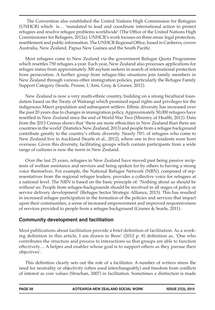The Convention also established the United Nations High Commission for Refugees (UNHCR) which is… 'mandated to lead and coordinate international action to protect refugees and resolve refugee problems worldwide' (The Office of the United Nations High Commissioner for Refugees, 2012a). UNHCR's work focuses on three areas: legal protection, resettlement and public information. The UNHCR Regional Office, based in Canberra, covers Australia, New Zealand, Papua New Guinea and the South Pacific.

Most refugees come to New Zealand via the government Refugee Quota Programme which resettles 750 refugees a year. Each year, New Zealand also processes applications for refugee status from approximately 300 asylum seekers in search of international protection from persecution. A further group from refugee-like situations join family members in New Zealand through various other immigration policies, particularly the Refugee Family Support Category (Searle, Prouse, L'Ami, Gray, & Gruner, 2012).

New Zealand is now a very multi-ethnic country, building on a strong bicultural foundation based on the Treaty of Waitangi which promised equal rights and privileges for the indigenous Māori population and subsequent settlers. Ethnic diversity has increased over the past 20 years due to changes in immigration policy. Approximately 50,000 refugees have resettled in New Zealand since the end of World War Two (Ministry of Health, 2012). Data from the 2013 Census shows that 'there are more ethnicities in New Zealand than there are countries in the world' (Statistics New Zealand, 2013) and people from a refugee background contribute greatly to the country's ethnic diversity. Nearly 70% of refugees who come to New Zealand live in Auckland (Searle et al., 2012), where one in five residents were born overseas. Given this diversity, facilitating groups which contain participants from a wide range of cultures is now the norm in New Zealand.

Over the last 25 years, refugees in New Zealand have moved past being passive recipients of welfare assistance and services and being spoken for by others to having a strong voice themselves. For example, the National Refugee Network (NRN), composed of representatives from the regional refugee leaders, provides a collective voice for refugees at a national level. The NRN is based on the basic principle of: 'Nothing about us should be without us: People from refugee-backgrounds should be involved in all stages of policy or service delivery development' (Refugee Sector Strategic Alliance, 2013). This has resulted in increased refugee participation in the formation of the policies and services that impact upon their communities, a sense of increased empowerment and improved responsiveness of services provided to people from a refugee background (Gruner & Searle, 2011).

#### **Community development and facilitation**

Most publications about facilitation provide a brief definition of facilitation. As a working definition in this article, I am drawn to Bens' (2012 p. 8) definition as, 'One who contributes the structure and process to interactions so that groups are able to function effectively… A helper and enabler whose goal is to support others as they pursue their objectives'.

This definition clearly sets out the role of a facilitator. A number of writers stress the need for neutrality or objectivity (often used interchangeably) and freedom from conflicts of interest as core values (Strachan, 2007) in facilitation. Sometimes a distinction is made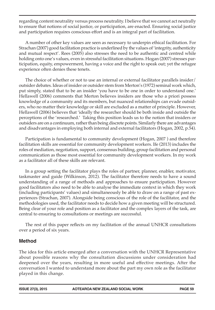regarding content neutrality versus process neutrality. I believe that we cannot act neutrally to ensure that notions of social justice, or participation, are enacted. Ensuring social justice and participation requires conscious effort and is an integral part of facilitation.

A number of other key values are seen as necessary to underpin ethical facilitation. For Strachan (2007) good facilitation practice is underlined by the values of 'integrity, authenticity and mutual respect'. Rees (2005) also stresses the need to be authentic and centred while holding onto one's values, even in stressful facilitation situations. Hogan (2007) stresses participation, equity, empowerment, having a voice and the right to speak out; yet the refugee experience often denies these tenets.

The choice of whether or not to use an internal or external facilitator parallels insider/ outsider debates. Ideas of insider or outsider stem from Merton's (1972) seminal work which, put simply, stated that to be an insider 'you have to be one in order to understand one.' Hellawell (2006) comments that Merton believes insiders are those who a priori possess knowledge of a community and its members, but nuanced relationships can evade outsiders, who no matter their knowledge or skill are excluded as a matter of principle. However, Hellawell (2006) believes that 'ideally the researcher should be both inside and outside the perceptions of the 'researched.' Taking this position leads us to the notion that insiders or outsiders are on a continuum, rather than being discrete points. Similarly there are advantages and disadvantages in employing both internal and external facilitators (Hogan, 2002, p.54).

Participation is fundamental to community development (Hogan, 2007 ) and therefore facilitation skills are essential for community development workers. Ife (2013) includes the roles of mediation, negotiation, support, consensus building, group facilitation and personal communication as those most essential for community development workers. In my work as a facilitator all of these skills are relevant.

In a group setting the facilitator plays the roles of partner, planner, enabler, motivator, taskmaster and guide (Wilkinson, 2012). The facilitator therefore needs to have a sound understanding of a range of methods and approaches to ensure participation. However good facilitators also need to be able to analyse the immediate context in which they work (including participants' values) and simultaneously be able to draw on a range of past experiences (Strachan, 2007). Alongside being conscious of the role of the facilitator, and the methodologies used, the facilitator needs to decide how a given meeting will be structured. Being clear of your role and position as a facilitator and the complex layers of the task, are central to ensuring to consultations or meetings are successful.

The rest of this paper reflects on my facilitation of the annual UNHCR consultations over a period of six years.

#### **Method**

The idea for this article emerged after a conversation with the UNHCR Representative about possible reasons why the consultation discussions under consideration had deepened over the years, resulting in more useful and effective meetings. After the conversation I wanted to understand more about the part my own role as the facilitator played in this change.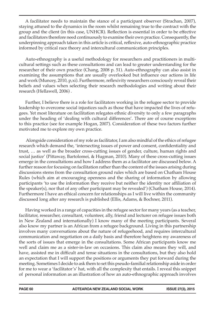A facilitator needs to maintain the stance of a participant observer (Strachan, 2007), staying attuned to the dynamics in the room whilst remaining true to the contract with the group and the client (in this case, UNHCR). Reflection is essential in order to be effective and facilitators therefore need continuously to examine their own practice. Consequently, the underpinning approach taken in this article is critical, reflexive, auto-ethnographic practice informed by critical race theory and intercultural communication principles.

Auto-ethnography is a useful methodology for researchers and practitioners in multicultural settings such as these consultations and can lead to greater understanding for the researcher of their own practice (Chang, 2008 p. 51). Auto-ethnography can also assist in examining the assumptions that are usually overlooked but influence our actions in life and work (Muncey, 2010, p,xi). Furthermore, reflexivity researchers consciously reveal their beliefs and values when selecting their research methodologies and writing about their research (Hellawell, 2006) .

Further, I believe there is a role for facilitators working in the refugee sector to provide leadership to overcome social injustices such as those that have impacted the lives of refugees. Yet most literature on facilitation relegates ethnic diversity to only a few paragraphs under the heading of 'dealing with cultural differences'. There are of course exceptions to this practice (see for example Hogan, 2007). Consideration of these two factors further motivated me to explore my own practice.

 Alongside consideration of my role as facilitator, I am also mindful of the ethics of refugee research which demand the, 'intersecting issues of power and consent, confidentiality and trust, … as well as the broader cross-cutting issues of gender, culture, human rights and social justice' (Pittaway, Bartolomei, & Hugman, 2010). Many of these cross-cutting issues emerge in the consultations and how I address them as a facilitator are discussed below. A further reason for focusing on facilitation rather than the content of the issues arising during discussions stems from the consultation ground rules which are based on Chatham House Rules (which aim at encouraging openness and the sharing of information by allowing participants 'to use the information they receive but neither the identity nor affiliation of the speaker(s), nor that of any other participant may be revealed') (Chatham House, 2014). Furthermore I have an ethical concern for relationships as I will live within the community discussed long after any research is published (Ellis, Adams, & Bochner, 2011).

Having worked in a range of capacities in the refugee sector for many years (as a teacher, facilitator, researcher, consultant, volunteer, ally, friend and lecturer on refugee issues both in New Zealand and internationally) I know many of the meeting participants. Several also know my partner is an African from a refugee background. Living in this partnership involves many conversations about the nature of refugeehood, and requires intercultural communication and negotiation on a daily basis and therefore heightens my awareness of the sorts of issues that emerge in the consultations. Some African participants know me well and claim me as a sister-in-law on occasions. This claim also means they will, and have, assisted me in difficult and tense situations in the consultations, but they also hold an expectation that I will support the positions or arguments they put forward during the meeting. Sometimes I decide to ask them to set this pseudo-familial relationship aside in order for me to wear a 'facilitator's' hat, with all the complexity that entails. I reveal this snippet of personal information as an illustration of how an auto-ethnographic approach involves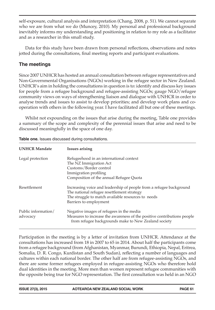self-exposure, cultural analysis and interpretation (Chang, 2008, p. 51). We cannot separate who we are from what we do (Muncey, 2010). My personal and professional background inevitably informs my understanding and positioning in relation to my role as a facilitator and as a researcher in this small study.

Data for this study have been drawn from personal reflections, observations and notes jotted during the consultations, final meeting reports and participant evaluations.

### **The meetings**

Since 2007 UNHCR has hosted an annual consultation between refugee representatives and Non-Governmental Organisations (NGOs) working in the refugee sector in New Zealand. UNHCR's aim in holding the consultations in question is to: identify and discuss key issues for people from a refugee background and refugee-assisting NGOs; gauge NGO/refugee community views on ways of strengthening liaison and dialogue with UNHCR in order to analyse trends and issues to assist to develop priorities; and develop work plans and cooperation with others in the following year. I have facilitated all but one of these meetings.

Whilst not expounding on the issues that arise during the meeting, Table one provides a summary of the scope and complexity of the perennial issues that arise and need to be discussed meaningfully in the space of one day.

| <b>UNHCR Mandate</b>            | <b>Issues arising</b>                                                                                                                                                                             |
|---------------------------------|---------------------------------------------------------------------------------------------------------------------------------------------------------------------------------------------------|
| Legal protection                | Refugeehood in an international context<br>The NZ Immigration Act<br>Customs/Border control<br>Immigration profiling<br>Composition of the annual Refugee Quota                                   |
| Resettlement                    | Increasing voice and leadership of people from a refugee background<br>The national refugee resettlement strategy<br>The struggle to match available resources to needs<br>Barriers to employment |
| Public information/<br>advocacy | Negative images of refugees in the media<br>Measures to increase the awareness of the positive contributions people<br>from refugee backgrounds make to New Zealand society                       |

**Table one.** Issues discussed during consultations.

Participation in the meeting is by a letter of invitation from UNHCR. Attendance at the consultations has increased from 18 in 2007 to 65 in 2014. About half the participants come from a refugee background (from Afghanistan, Myanmar, Burundi, Ethiopia, Nepal, Eritrea, Somalia, D. R. Congo, Kurdistan and South Sudan), reflecting a number of languages and cultures within each national border. The other half are from refugee-assisting NGOs, and there are some former refugees employed in refugee-assisting NGOs who therefore hold dual identities in the meeting. More men than women represent refugee communities with the opposite being true for NGO representation. The first consultation was held in an NGO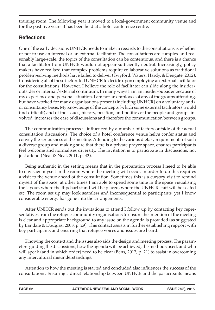training room. The following year it moved to a local-government community venue and for the past five years it has been held at a hotel conference centre.

# **Reflections**

One of the early decisions UNHCR needs to make in regards to the consultations is whether or not to use an internal or an external facilitator. The consultations are complex and reasonably large-scale, the topics of the consultation can be contentious, and there is a chance that a facilitator from UNHCR would not appear sufficiently neutral. Increasingly, policy makers have realised that complex problems require collaborative solutions as traditional problem-solving methods have failed to deliver (Twyford, Waters, Hardy, & Dengate, 2012). Considering all of these factors led UNHCR to decide upon employing an external facilitator for the consultations. However, I believe the role of facilitator can slide along the insider/ outsider or internal/external continuum. In many ways I am an insider-outsider because of my experience and personal situation. I am not an employee of any of the groups attending, but have worked for many organisations present (including UNHCR) on a voluntary and / or consultancy basis. My knowledge of the concepts (which some external facilitators would find difficult) and of the issues, history, position, and politics of the people and groups involved, increases the ease of discussions and therefore the communication between groups.

The communication process is influenced by a number of factors outside of the actual consultation discussions. The choice of a hotel conference venue helps confer status and convey the seriousness of the meeting. Attending to the various dietary requirements of such a diverse group and making sure that there is a private prayer space, ensures participants feel welcome and normalises diversity. The invitation is to participate in discussions, not just attend (Neal & Neal, 2011, p. 42).

Being authentic in the setting means that in the preparation process I need to be able to envisage myself in the room where the meeting will occur. In order to do this requires a visit to the venue ahead of the consultation. Sometimes this is a cursory visit to remind myself of the space; at other times I am able to spend some time in the space visualising the layout, where the flipchart stand will be placed, where the UNHCR staff will be seated etc. The room set up may look seamless and inconsequential to participants, yet I know considerable energy has gone into the arrangements.

After UNHCR sends out the invitations to attend I follow up by contacting key representatives from the refugee community organisations to ensure the intention of the meeting is clear and appropriate background to any issue on the agenda is provided (as suggested by Landale & Douglas, 2008, p. 29). This contact assists in further establishing rapport with key participants and ensuring that refugee voices and issues are heard.

Knowing the context and the issues also aids the design and meeting process. The parameters guiding the discussions, how the agenda will be achieved, the methods used, and who will speak (and in which order) need to be clear (Bens, 2012, p. 21) to assist in overcoming any intercultural misunderstandings.

Attention to how the meeting is started and concluded also influences the success of the consultations. Ensuring a direct relationship between UNHCR and the participants means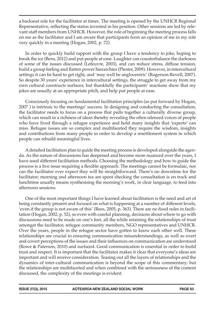a backseat role for the facilitator at times. The meeting is opened by the UNHCR Regional Representative, reflecting the status invested in his position. Other sessions are led by relevant staff members from UNHCR. However, the role of beginning the meeting process falls on me as the facilitator and I am aware that participants form an opinion of me in my role very quickly in a meeting (Hogan, 2002, p. 72).

In order to quickly build rapport with the group I have a tendency to joke, hoping to break the ice (Bens, 2012) and put people at ease. Laughter can counterbalance the darkness of some of the issues discussed (Lefeuvre, 2003), and can reduce stress, diffuse tension, build a group feeling and flatten power hierarchies (Plester, 2009). However, in intercultural settings it can be hard to get right, and 'may well be anglocentric' (Rogerson-Revell, 2007). So despite 30 years' experience in intercultural settings, the struggle to get away from my own cultural constructs surfaces, but thankfully the participants' reactions show that my jokes are usually at an appropriate pitch, and help put people at ease.

Consciously focusing on fundamental facilitation principles (as put forward by Hogan, 2007 ) is intrinsic to the meetings' success. In designing and conducting the consultation, the facilitator needs to focus on a process that pulls together a culturally diverse group, which can result in a richness of ideas thereby revealing the often silenced voices of people who have lived through a refugee experience and hold many insights that 'experts' can miss. Refugee issues are so complex and multifaceted they require the wisdom, insights and contributions from many people in order to develop a resettlement system in which people can rebuild meaningful lives.

A detailed facilitation plan to guide the meeting process is developed alongside the agenda. As the nature of discussions has deepened and become more nuanced over the years, I have used different facilitation methods. Choosing the methodology and how to guide the process is a live issue requiring a flexible approach. The meetings cannot be formulaic, nor can the facilitator ever expect they will be straightforward. There's no downtime for the facilitator; morning and afternoon tea are spent checking the consultation is on track and lunchtime usually means synthesising the morning's work, in clear language, to feed into afternoon sessions.

One of the most important things I have learned about facilitation is the need and art of being constantly present and focused on what is happening at a number of different levels, 'even if the group is not aware of this' (Rees, 2005, p. 363). There are no fixed rules in facilitation (Hogan, 2002, p. 52), so even with careful planning, decisions about where to go with discussions need to be made on one's feet, all the while retaining the relationships of trust amongst the facilitator, refugee community members, NGO representatives and UNHCR. Over the years, people in the refugee sector have gotten to know each other well. These relationships are crucial to ensuring communication misunderstandings, as well as overt and covert perceptions of the issues and their influences on communication are understood (Rowe & Paterson, 2010) and surfaced. Good communication is essential in order to build trust and respect. It is important that the facilitator makes it clear that everyone's ideas are important and will receive consideration. Teasing out all the layers of relationships and the dynamics of inter-cultural communication is beyond the scope of this commentary; but the relationships are multifaceted and when combined with the seriousness of the content discussed, the complexity of the meetings is evident.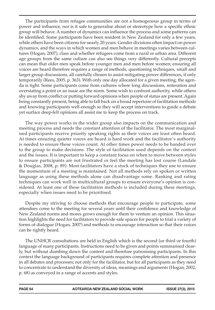The participants from refugee communities are not a homogenous group in terms of power and influence, nor is it safe to generalise about or stereotype how a specific ethnic group will behave. A number of dynamics can influence the process and some patterns can be identified. Some participants have been resident in New Zealand for only a few years, while others have been citizens for nearly 20 years. Gender divisions often impact on power dynamics, and the ways in which women and men behave in meetings varies between cultures (Hogan, 2007), class and whether refugees come from a rural or urban area. Different age groups from the same culture can also see things very differently. Cultural precepts can mean that older men speak before younger men and men before women; ensuring all voices are heard therefore requires a range of methods, questioning techniques, small and larger group discussions, all carefully chosen to assist mitigating power differences, if only temporarily (Rees, 2005, p. 363). With only one day allocated for a given meeting, the agenda is tight. Some participants come from cultures where long discussions, reiteration and overstating a point or an issue are the norm. Some wish to confront authority, while others shy away from conflict or putting forward opinions when people of status are present. Again being constantly present, being able to fall back on a broad repertoire of facilitation methods and knowing participants well enough so they will accept interventions to guide a debate yet surface deep-felt opinions all assist me to keep the process on track.

The way power works in the wider group also impacts on the communication and meeting process and needs the constant attention of the facilitator. The most marginalised participants receive priority speaking rights as their voices are least often heard. At times ensuring quieter voices are heard is hard work and the facilitator's authority is needed to ensure these voices count. At other times power needs to be handed over to the group to make decisions. The style of facilitation used depends on the context and the issues. It is important to keep a constant focus on when to move between styles to ensure participants are not frustrated or feel the meeting has lost course (Landale & Douglas, 2008, p. 89). Most facilitators have a stock of techniques they use to ensure the momentum of a meeting is maintained. Not all methods rely on spoken or written language as using these methods alone can disadvantage some. Ranking and rating techniques can work well in multicultural groups to ensure everyone's opinion is considered. At least one of these facilitation methods is included during these meetings, especially when issues need to be prioritised.

Despite my striving to choose methods that encourage people to participate, some attendees come to the meeting for several years until their confidence and knowledge of New Zealand norms and mores grows enough for them to venture an opinion. This situation highlights the need for facilitators to provide safe spaces for people to trial a variety of forms of dialogue (Hogan, 2007) and methods to encourage interaction so that their voices can be rightly heard.

The UNHCR consultations are held in English which is the second (or third or fourth) language of many participants. Instructions need to be given and points summarised clearly, but without dumbing down the content and therefore patronising participants. In this context the language background of participants requires complete attention and presence in all debates and processes; not only for the facilitator, but for all participants as they need to concentrate to understand the diversity of ideas, meanings and arguments (Hogan, 2002, p. 68) as conveyed in a range of accents and styles.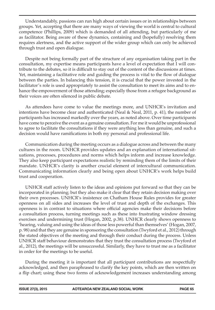Understandably, passions can run high about certain issues or in relationships between groups. Yet, accepting that there are many ways of viewing the world is central to cultural competence (Phillips, 2009) which is demanded of all attending, but particularly of me as facilitator. Being aware of these dynamics, containing and (hopefully) resolving them requires alertness, and the active support of the wider group which can only be achieved through trust and open dialogue.

Despite not being formally part of the structure of any organisation taking part in the consultation, my expertise means participants have a level of expectation that I will contribute to the debates, so it is difficult to stay out of the content of the discussions at times. Yet, maintaining a facilitative role and guiding the process is vital to the flow of dialogue between the parties. In balancing this tension, it is crucial that the power invested in the facilitator's role is used appropriately to assist the consultation to meet its aims and to enhance the empowerment of those attending; especially those from a refugee background as their voices are often silenced in public debate.

As attendees have come to value the meetings more, and UNHCR's invitation and intentions have become clear and authenticated (Neal & Neal, 2011, p. 41), the number of participants has increased markedly over the years, as noted above. Over time participants have come to perceive the event as a genuine consultation. For me it would be unprofessional to agree to facilitate the consultations if they were anything less than genuine, and such a decision would have ramifications in both my personal and professional life.

Communication during the meeting occurs as a dialogue across and between the many cultures in the room. UNHCR provides updates and an explanation of international situations, processes, procedures and norms which helps inform and increase knowledge. They also keep participant expectations realistic by reminding them of the limits of their mandate. UNHCR's clarity is another crucial element of intercultural communication. Communicating information clearly and being open about UNHCR's work helps build trust and cooperation.

UNHCR staff actively listen to the ideas and opinions put forward so that they can be incorporated in planning; but they also make it clear that they retain decision making over their own processes. UNHCR's insistence on Chatham House Rules provides for greater openness on all sides and increases the level of trust and depth of the exchanges. This openness is in contrast to situations where official agencies make their decisions before a consultation process, turning meetings such as these into frustrating window dressing exercises and undermining trust (Hogan, 2002, p.38). UNHCR clearly shows openness to 'hearing, valuing and using the ideas of those less powerful than themselves' (Hogan, 2007, p. 98) and that they are genuine in sponsoring the consultation (Twyford et al., 2012) through the stated objectives of the meeting and through their conduct during the process. Unless UNHCR staff behaviour demonstrates that they trust the consultation process (Twyford et al., 2012), the meetings will be unsuccessful. Similarly, they have to trust me as a facilitator in order for the meetings to be useful.

During the meeting it is important that all participant contributions are respectfully acknowledged, and then paraphrased to clarify the key points, which are then written on a flip chart; using these two forms of acknowledgement increases understanding among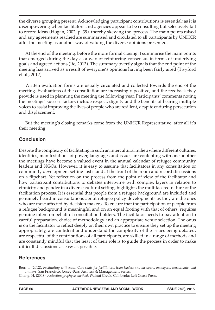the diverse grouping present. Acknowledging participant contributions is essential; as it is disempowering when facilitators and agencies appear to be consulting but selectively fail to record ideas (Hogan, 2002, p. 39), thereby skewing the process. The main points raised and any agreements reached are summarised and circulated to all participants by UNHCR after the meeting as another way of valuing the diverse opinions presented.

At the end of the meeting, before the more formal closing, I summarise the main points that emerged during the day as a way of reinforcing consensus in terms of underlying goals and agreed actions (Ife, 2013). The summary overtly signals that the end point of the meeting has arrived as a result of everyone's opinions having been fairly aired (Twyford et al., 2012).

Written evaluation forms are usually circulated and collected towards the end of the meeting. Evaluations of the consultation are increasingly positive, and the feedback they provide is used in planning the meeting the following year. Participants' comments noting the meetings' success factors include respect, dignity and the benefits of hearing multiple voices to assist improving the lives of people who are resilient, despite enduring persecution and displacement.

But the meeting's closing remarks come from the UNHCR Representative; after all it's their meeting.

#### **Conclusion**

Despite the complexity of facilitating in such an intercultural milieu where different cultures, identities, manifestations of power, languages and issues are contenting with one another the meetings have become a valued event in the annual calendar of refugee community leaders and NGOs. However, it is easy to assume that facilitators in any consultation or community development setting just stand at the front of the room and record discussions on a flipchart. Yet reflection on the process from the point of view of the facilitator and how participant contributions to debates intertwine with complex layers in relation to ethnicity and gender in a diverse cultural setting, highlights the multifaceted nature of the facilitation process. It is essential that people from a refugee background are included and genuinely heard in consultations about refugee policy developments as they are the ones who are most affected by decision makers. To ensure that the participation of people from a refugee background is meaningful and on an equal footing with that of others, requires genuine intent on behalf of consultation holders. The facilitator needs to pay attention to careful preparation, choice of methodology and an appropriate venue selection. The onus is on the facilitator to reflect deeply on their own practice to ensure they set up the meeting appropriately, are confident and understand the complexity of the issues being debated, are respectful of the contributions of all participants, are skilled in a range of methods and are constantly mindful that the heart of their role is to guide the process in order to make difficult discussions as easy as possible.

## **References**

Bens, I. (2012). *Facilitating with ease!: Core skills for facilitators, team leaders and members, managers, consultants, and trainers.* San Francisco: Jossey-Bass Business & Management Series.

Chang, H. (2008). *Autoethnography as method*. Walnut Creek, California: Left Coast Press.